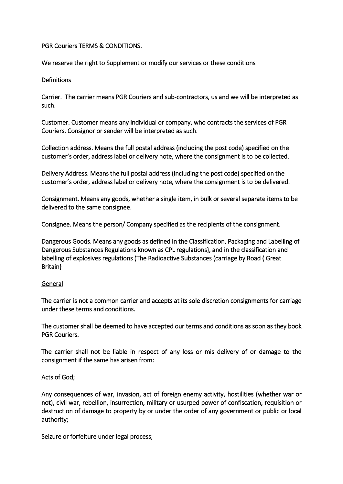# PGR Couriers TERMS & CONDITIONS.

We reserve the right to Supplement or modify our services or these conditions

### **Definitions**

Carrier. The carrier means PGR Couriers and sub-contractors, us and we will be interpreted as such.

Customer. Customer means any individual or company, who contracts the services of PGR Couriers. Consignor or sender will be interpreted as such.

Collection address. Means the full postal address (including the post code) specified on the customer's order, address label or delivery note, where the consignment is to be collected.

Delivery Address. Means the full postal address (including the post code) specified on the customer's order, address label or delivery note, where the consignment is to be delivered.

Consignment. Means any goods, whether a single item, in bulk or several separate items to be delivered to the same consignee.

Consignee. Means the person/ Company specified as the recipients of the consignment.

Dangerous Goods. Means any goods as defined in the Classification, Packaging and Labelling of Dangerous Substances Regulations known as CPL regulations}, and in the classification and labelling of explosives regulations (The Radioactive Substances (carriage by Road ( Great Britain}

### General

The carrier is not a common carrier and accepts at its sole discretion consignments for carriage under these terms and conditions.

The customer shall be deemed to have accepted our terms and conditions as soon as they book PGR Couriers.

The carrier shall not be liable in respect of any loss or mis delivery of or damage to the consignment if the same has arisen from:

Acts of God;

Any consequences of war, invasion, act of foreign enemy activity, hostilities (whether war or not), civil war, rebellion, insurrection, military or usurped power of confiscation, requisition or destruction of damage to property by or under the order of any government or public or local authority;

Seizure or forfeiture under legal process;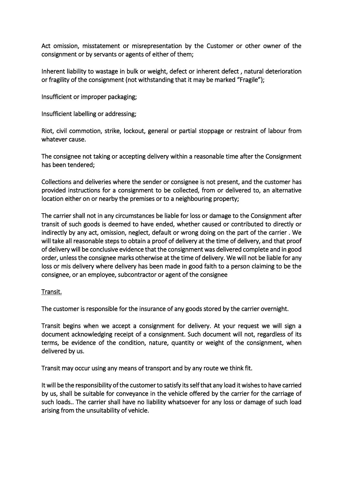Act omission, misstatement or misrepresentation by the Customer or other owner of the consignment or by servants or agents of either of them;

Inherent liability to wastage in bulk or weight, defect or inherent defect , natural deterioration or fragility of the consignment (not withstanding that it may be marked "Fragile");

Insufficient or improper packaging;

Insufficient labelling or addressing;

Riot, civil commotion, strike, lockout, general or partial stoppage or restraint of labour from whatever cause.

The consignee not taking or accepting delivery within a reasonable time after the Consignment has been tendered;

Collections and deliveries where the sender or consignee is not present, and the customer has provided instructions for a consignment to be collected, from or delivered to, an alternative location either on or nearby the premises or to a neighbouring property;

The carrier shall not in any circumstances be liable for loss or damage to the Consignment after transit of such goods is deemed to have ended, whether caused or contributed to directly or indirectly by any act, omission, neglect, default or wrong doing on the part of the carrier . We will take all reasonable steps to obtain a proof of delivery at the time of delivery, and that proof of delivery will be conclusive evidence that the consignment was delivered complete and in good order, unless the consignee marks otherwise at the time of delivery. We will not be liable for any loss or mis delivery where delivery has been made in good faith to a person claiming to be the consignee, or an employee, subcontractor or agent of the consignee

# Transit.

The customer is responsible for the insurance of any goods stored by the carrier overnight.

Transit begins when we accept a consignment for delivery. At your request we will sign a document acknowledging receipt of a consignment. Such document will not, regardless of its terms, be evidence of the condition, nature, quantity or weight of the consignment, when delivered by us.

Transit may occur using any means of transport and by any route we think fit.

It will be the responsibility of the customer to satisfy its self that any load it wishes to have carried by us, shall be suitable for conveyance in the vehicle offered by the carrier for the carriage of such loads.. The carrier shall have no liability whatsoever for any loss or damage of such load arising from the unsuitability of vehicle.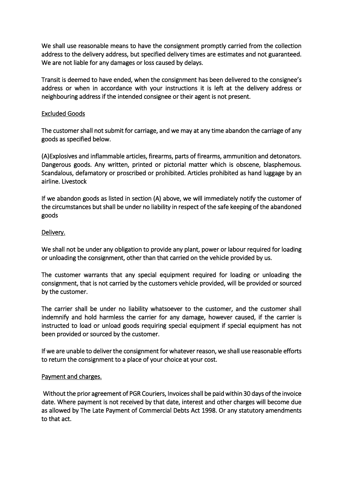We shall use reasonable means to have the consignment promptly carried from the collection address to the delivery address, but specified delivery times are estimates and not guaranteed. We are not liable for any damages or loss caused by delays.

Transit is deemed to have ended, when the consignment has been delivered to the consignee's address or when in accordance with your instructions it is left at the delivery address or neighbouring address if the intended consignee or their agent is not present.

### Excluded Goods

The customer shall not submit for carriage, and we may at any time abandon the carriage of any goods as specified below.

(A)Explosives and inflammable articles, firearms, parts of firearms, ammunition and detonators. Dangerous goods. Any written, printed or pictorial matter which is obscene, blasphemous. Scandalous, defamatory or proscribed or prohibited. Articles prohibited as hand luggage by an airline. Livestock

If we abandon goods as listed in section (A) above, we will immediately notify the customer of the circumstances but shall be under no liability in respect of the safe keeping of the abandoned goods

### Delivery.

We shall not be under any obligation to provide any plant, power or labour required for loading or unloading the consignment, other than that carried on the vehicle provided by us.

The customer warrants that any special equipment required for loading or unloading the consignment, that is not carried by the customers vehicle provided, will be provided or sourced by the customer.

The carrier shall be under no liability whatsoever to the customer, and the customer shall indemnify and hold harmless the carrier for any damage, however caused, if the carrier is instructed to load or unload goods requiring special equipment if special equipment has not been provided or sourced by the customer.

If we are unable to deliver the consignment for whatever reason, we shall use reasonable efforts to return the consignment to a place of your choice at your cost.

### Payment and charges.

 Without the prior agreement of PGR Couriers, Invoices shall be paid within 30 days of the invoice date. Where payment is not received by that date, interest and other charges will become due as allowed by The Late Payment of Commercial Debts Act 1998. Or any statutory amendments to that act.